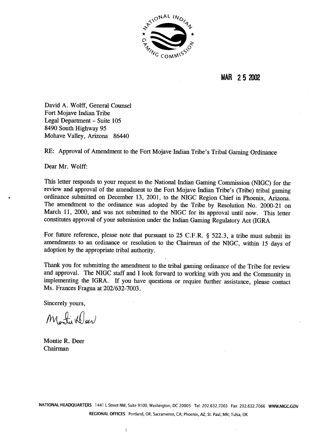

**MAR** 2 **5 2002** 

David **A.** Wolff, General Counsel Fort Mojave Indian Tribe Legal Department - Suite 105 8490 South Highway 95 Mohave Valley, Arizona 86440

RE: Approval of Amendment to the Fort Mojave Indian Tribe's Tribal Gaming Ordinance

Dear Mr. Wolff:

This letter responds to your request to the National Indian Gaming Commission (NIGC) for the review and approval of the amendment to the Fort Mojave Indian Tribe's (Tribe) tribal gaming ordinance submitted on December 13, 2001, to the NIGC Region Chief in Phoenix, Arizona. The amendment to the ordinance was adopted by the Tribe by Resolution No. 2000-21 on March 11, 2000, and was not submitted to the NIGC for its approval until now. This letter constitutes approval of your submission under the Indian Gaming Regulatory Act (IGRA

For future reference, please note that pursuant to 25 C.F.R. § 522.3, a tribe must submit its amendments to an ordinance or resolution to the Chairman of the NIGC, within 15 days of adoption by the appropriate tribal authority.

Thank you for submitting the amendment to the tribal gaming ordinance of the Tribe for review and approval. The NIGC staff and I look forward to working with you and the Community in implementing the IGRA. If you have questions or require further assistance, please contact Ms. Frances Fragua at 202/632-7003.

Sincerely yours,

Montie Weer

Montie R. Deer Chairman

**NATIONAL HEADQUARTERS 1441 L Street NW, Suite 91** 00, **Washington,** DC 20005 **Tel:** 202.632.7003 **Fax:** 202.632.7066 **WWW.NlGC.GOV REGIONAL OFFICES Portland, OR; Sacramento, CA; Phoenix, AZ; St. Paul, MN; Tulsa, OK**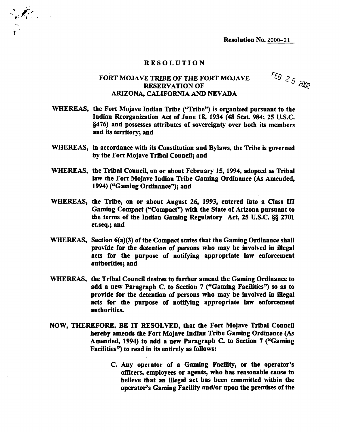## RESOLUTION

## FORT MOJAVE **TRIBE** OF THE FORT MOJAVE RESERVATION OF ARIZONA, CALIFORNIA **AND** NEVADA

FEB 25  $2002$ 

- WHEREAS, the Fort Mojave Indian Tribe ("Tribe") is organized pursuant to the Indian Reorganization Act of June 18, 1934 (48 Stat. 984; 25 **U.S.C. w76)** and possesses attributes of sovereignty over both its members and its territory; and
- WHEREAS, in accordance with its Constitution and Bylaws, the Tribe is governed by the Fort Mojave Tribal Council; and
- WHEREAS, the Tribal Council, on or about February 15,1994, adopted as Tribal law the Fort Mojave Indian Tribe Gaming Ordinance (As Amended, 1994) ('Gaming Ordinance"); and
- WHEREAS, the Tribe, on or about August 26, 1993, entered into a Class **III**  Gaming Compact ("Compact") with the State of Arizona pursuant to the terms of the Indian Gaming Regulatory Act, 25 U.S.C. **88** 2701 et.seq.; and
- WHEREAS, Section 6(a)(3) of the Compact states that the Gaming Ordinance shall provide for the detention of persons who may be involved in illegal acts for the purpose of notifying appropriate law enforcement authorities; and
- WHEREAS, the Tribal Council desires to further amend the Gaming Ordinance to add a new Paragraph C. to Section  $7$  ("Gaming Facilities") so as to provide for the detention of persons who may be involved in illegal acts for the purpose of notifying appropriate law enforcement authorities.
- NOW, THEREFORE, BE IT RESOLVED, that the Fort Mojave Tribal Council hereby amends the Fort Mojave Indian Tribe Gaming Ordinance (As Amended, 1994) to add a new Paragraph C. to Section 7 ("Gaming Facilities") to read in its entirely as follows:
	- C. Any operator of a Gaming Facility, or the operator's officers, employees or agents, who has reasonable cause to believe that an illegal act has been committed within the operator's Gaming Facility and/or upon the premises of the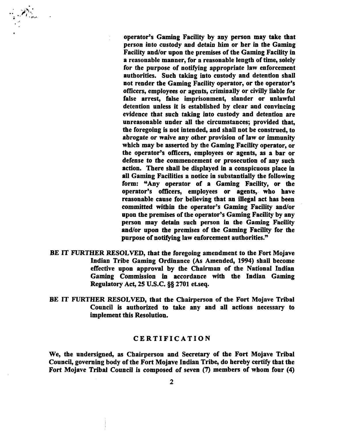operator's Gaming Facility by any person may take that person into custody and detain him or her in the Gaming Facility and/or upon the premises of the Gaming Facility in a reasonable manner, for a reasonable length of time, solely for the purpose of notifying appropriate law enforcement authorities. Such taking into custody and detention shall not render the Gaming Facility operator, or the operator's officers, employees or agents, criminally or civilly liable for false arrest, false imprisonment, slander or unlawful detention unless it is established by clear and convincing evidence that such taking into custody and detention are unreasonable under all the circumstances; provided that, the foregoing is not intended, and shall not be construed, to abrogate or waive any other provision of law or immunity which may be asserted by the Gaming Facility operator, or the operator's oficers, employees or agents, as a bar or defense to the commencement or prosecution of any such action. There shall be displayed in a conspicuous place in all Gaming Facilities a notice in substantially the following form: "Any operator of a Gaming Facility, or the operator's officers, employees or agents, who have reasonable cause for believing that an illegal act has been committed within the operator's Gaming Facility and/or upon the premises of the operator's Gaming Facility by any person may detain such person in **the** Gaming Facility and/or upon the premises of the Gaming Facility for the purpose of notifying law enforcement authorities."

- BE IT FURTHER RESOLVED, that the foregoing amendment to the Fort Mojave Indian Tribe Gaming Ordinance (As Amended, **1994)** shall become effective upon approval by the Chairman of the National Indian Gaming Commission in accordance with the Indian Gaming Regulatory Act, 25 U.S.C. **95 2701** etseq.
- BE IT FURTHER RESOLVED, that the Chairperson of the Fort Mojave Tribal Council is authorized to take any and all actions necessary to implement this Resolution.

## CERTIFICATION

We, the undersigned, as Chairperson and Secretary of the Fort Mojave Tribal Council, governing body of the Fort Mojave Indian Tribe, do hereby certify that the Fort Mojave Tribal Council is composed of seven (7) members of whom four **(4)**